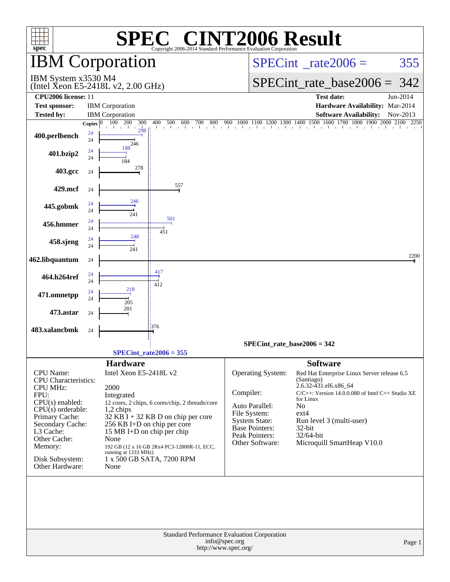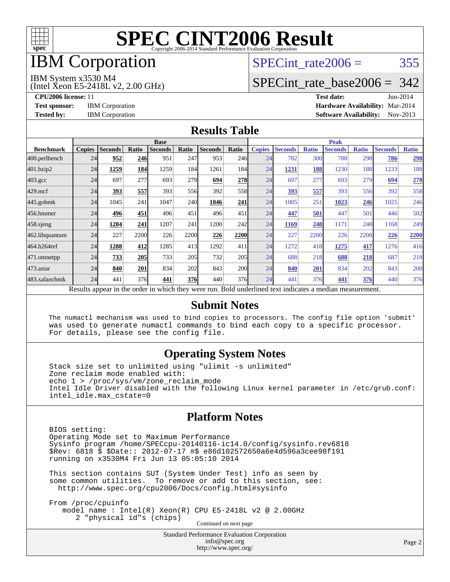

# **IBM** Corporation

# SPECint rate $2006 = 355$

#### IBM System x3530 M4

(Intel Xeon E5-2418L v2, 2.00 GHz)

[SPECint\\_rate\\_base2006 =](http://www.spec.org/auto/cpu2006/Docs/result-fields.html#SPECintratebase2006) 342

**[CPU2006 license:](http://www.spec.org/auto/cpu2006/Docs/result-fields.html#CPU2006license)** 11 **[Test date:](http://www.spec.org/auto/cpu2006/Docs/result-fields.html#Testdate)** Jun-2014 **[Test sponsor:](http://www.spec.org/auto/cpu2006/Docs/result-fields.html#Testsponsor)** IBM Corporation **[Hardware Availability:](http://www.spec.org/auto/cpu2006/Docs/result-fields.html#HardwareAvailability)** Mar-2014 **[Tested by:](http://www.spec.org/auto/cpu2006/Docs/result-fields.html#Testedby)** IBM Corporation **[Software Availability:](http://www.spec.org/auto/cpu2006/Docs/result-fields.html#SoftwareAvailability)** Nov-2013

#### **[Results Table](http://www.spec.org/auto/cpu2006/Docs/result-fields.html#ResultsTable)**

|                    | <b>Base</b>   |                |              |                                                                                                          |            |                |            | <b>Peak</b>   |                |              |                |              |                |              |
|--------------------|---------------|----------------|--------------|----------------------------------------------------------------------------------------------------------|------------|----------------|------------|---------------|----------------|--------------|----------------|--------------|----------------|--------------|
| <b>Benchmark</b>   | <b>Copies</b> | <b>Seconds</b> | <b>Ratio</b> | <b>Seconds</b>                                                                                           | Ratio      | <b>Seconds</b> | Ratio      | <b>Copies</b> | <b>Seconds</b> | <b>Ratio</b> | <b>Seconds</b> | <b>Ratio</b> | <b>Seconds</b> | <b>Ratio</b> |
| 400.perlbench      | 24            | 952            | 246          | 951                                                                                                      | 247        | 953            | 246        | 24            | 782            | 300          | 788            | 298          | 786            | 298          |
| 401.bzip2          | 24            | 1259           | 184          | 1259                                                                                                     | 184        | 1261           | 184I       | 24            | 1231           | 188          | 1230           | 188          | 1233           | 188          |
| $403.\mathrm{gcc}$ | 24            | 697            | 277          | 693                                                                                                      | 279        | 694            | <b>278</b> | 24            | 697            | 277          | 693            | 279          | 694            | 278          |
| $429$ .mcf         | 24            | 393            | 557          | 393                                                                                                      | 556        | 392            | 558        | 24            | 393            | 557          | 393            | 556          | 392            | 558          |
| $445$ .gobmk       | 24            | 1045           | 241          | 1047                                                                                                     | <b>240</b> | 1046           | 241        | 24            | 1005           | 251          | 1023           | 246          | 1025           | 246          |
| 456.hmmer          | 24            | 496            | 451          | 496                                                                                                      | 451        | 496            | 451        | 24            | 447            | 501          | 447            | 501          | 446            | 502          |
| $458$ .sjeng       | 24            | 1204           | 241          | 1207                                                                                                     | 241        | 1200           | 242l       | 24            | 1169           | 248          | 1171           | 248          | 1168           | 249          |
| 462.libquantum     | 24            | 227            | 2200         | 226                                                                                                      | 2200       | 226            | 2200       | 24            | 227            | 2200         | 226            | 2200         | 226            | 2200         |
| 464.h264ref        | 24            | 1288           | 412          | 1285                                                                                                     | 413        | 1292           | 411        | 24            | 1272           | 418          | 1275           | 417          | 1276           | 416          |
| 471.omnetpp        | 24            | 733            | 205          | 733                                                                                                      | 205        | 732            | 205        | 24            | 688            | 218          | 688            | 218          | 687            | 218          |
| $473$ . astar      | 24            | 840            | 201          | 834                                                                                                      | 202        | 843            | 200        | 24            | 840            | 201          | 834            | 202          | 843            | 200          |
| 483.xalancbmk      | 24            | 441            | 376          | 441                                                                                                      | 376I       | 440            | 376        | 24            | 441            | 376          | 441            | 376          | 440            | 376          |
|                    |               |                |              | Results appear in the order in which they were run. Bold underlined text indicates a median measurement. |            |                |            |               |                |              |                |              |                |              |

#### **[Submit Notes](http://www.spec.org/auto/cpu2006/Docs/result-fields.html#SubmitNotes)**

 The numactl mechanism was used to bind copies to processors. The config file option 'submit' was used to generate numactl commands to bind each copy to a specific processor. For details, please see the config file.

#### **[Operating System Notes](http://www.spec.org/auto/cpu2006/Docs/result-fields.html#OperatingSystemNotes)**

 Stack size set to unlimited using "ulimit -s unlimited" Zone reclaim mode enabled with: echo 1 > /proc/sys/vm/zone\_reclaim\_mode Intel Idle Driver disabled with the following Linux kernel parameter in /etc/grub.conf: intel\_idle.max\_cstate=0

#### **[Platform Notes](http://www.spec.org/auto/cpu2006/Docs/result-fields.html#PlatformNotes)**

 BIOS setting: Operating Mode set to Maximum Performance Sysinfo program /home/SPECcpu-20140116-ic14.0/config/sysinfo.rev6818 \$Rev: 6818 \$ \$Date:: 2012-07-17 #\$ e86d102572650a6e4d596a3cee98f191 running on x3530M4 Fri Jun 13 05:05:10 2014

 This section contains SUT (System Under Test) info as seen by some common utilities. To remove or add to this section, see: <http://www.spec.org/cpu2006/Docs/config.html#sysinfo>

 From /proc/cpuinfo model name : Intel(R) Xeon(R) CPU E5-2418L v2 @ 2.00GHz 2 "physical id"s (chips) Continued on next page

> Standard Performance Evaluation Corporation [info@spec.org](mailto:info@spec.org) <http://www.spec.org/>

Page 2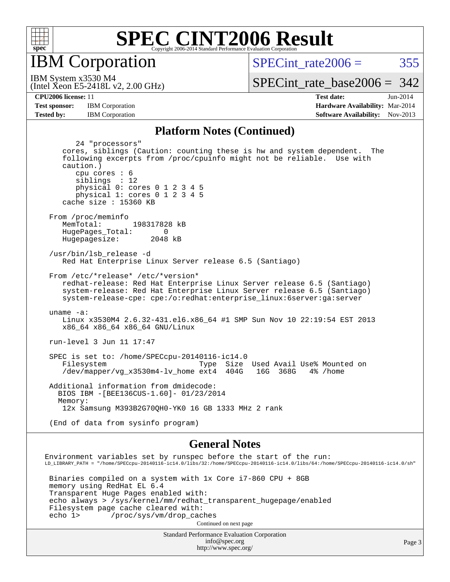

IBM Corporation

SPECint rate $2006 = 355$ 

(Intel Xeon E5-2418L v2, 2.00 GHz) IBM System x3530 M4

[SPECint\\_rate\\_base2006 =](http://www.spec.org/auto/cpu2006/Docs/result-fields.html#SPECintratebase2006) 342

**[CPU2006 license:](http://www.spec.org/auto/cpu2006/Docs/result-fields.html#CPU2006license)** 11 **[Test date:](http://www.spec.org/auto/cpu2006/Docs/result-fields.html#Testdate)** Jun-2014 **[Test sponsor:](http://www.spec.org/auto/cpu2006/Docs/result-fields.html#Testsponsor)** IBM Corporation **[Hardware Availability:](http://www.spec.org/auto/cpu2006/Docs/result-fields.html#HardwareAvailability)** Mar-2014 **[Tested by:](http://www.spec.org/auto/cpu2006/Docs/result-fields.html#Testedby)** IBM Corporation **[Software Availability:](http://www.spec.org/auto/cpu2006/Docs/result-fields.html#SoftwareAvailability)** Nov-2013

#### **[Platform Notes \(Continued\)](http://www.spec.org/auto/cpu2006/Docs/result-fields.html#PlatformNotes)**

 24 "processors" cores, siblings (Caution: counting these is hw and system dependent. The following excerpts from /proc/cpuinfo might not be reliable. Use with caution.) cpu cores : 6 siblings : 12 physical 0: cores 0 1 2 3 4 5 physical 1: cores 0 1 2 3 4 5 cache size : 15360 KB From /proc/meminfo MemTotal: 198317828 kB HugePages\_Total: 0<br>Hugepagesize: 2048 kB Hugepagesize: /usr/bin/lsb\_release -d Red Hat Enterprise Linux Server release 6.5 (Santiago) From /etc/\*release\* /etc/\*version\* redhat-release: Red Hat Enterprise Linux Server release 6.5 (Santiago) system-release: Red Hat Enterprise Linux Server release 6.5 (Santiago) system-release-cpe: cpe:/o:redhat:enterprise\_linux:6server:ga:server uname -a: Linux x3530M4 2.6.32-431.el6.x86\_64 #1 SMP Sun Nov 10 22:19:54 EST 2013 x86\_64 x86\_64 x86\_64 GNU/Linux run-level 3 Jun 11 17:47 SPEC is set to: /home/SPECcpu-20140116-ic14.0 Filesystem Type Size Used Avail Use% Mounted on<br>
/dev/mapper/vg\_x3530m4-lv\_home ext4 404G 16G 368G 4% /home  $/$ dev/mapper/vg\_x3530m4-lv\_home ext4 Additional information from dmidecode: BIOS IBM -[BEE136CUS-1.60]- 01/23/2014 Memory: 12x Samsung M393B2G70QH0-YK0 16 GB 1333 MHz 2 rank (End of data from sysinfo program)

#### **[General Notes](http://www.spec.org/auto/cpu2006/Docs/result-fields.html#GeneralNotes)**

Environment variables set by runspec before the start of the run: LD\_LIBRARY\_PATH = "/home/SPECcpu-20140116-ic14.0/libs/32:/home/SPECcpu-20140116-ic14.0/libs/64:/home/SPECcpu-20140116-ic14.0/sh" Binaries compiled on a system with 1x Core i7-860 CPU + 8GB memory using RedHat EL 6.4 Transparent Huge Pages enabled with: echo always > /sys/kernel/mm/redhat\_transparent\_hugepage/enabled Filesystem page cache cleared with: echo 1> /proc/sys/vm/drop\_caches Continued on next page

Standard Performance Evaluation Corporation [info@spec.org](mailto:info@spec.org) <http://www.spec.org/>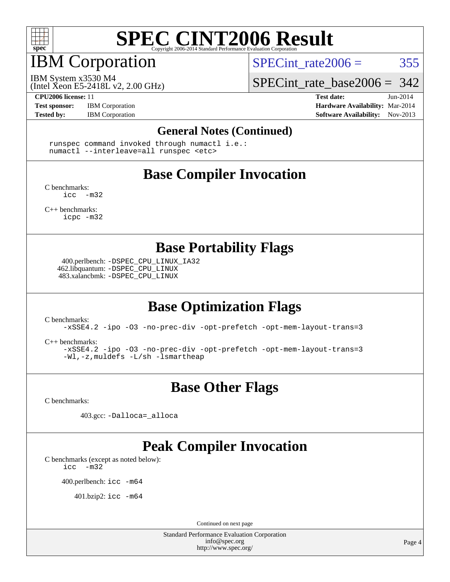

# IBM Corporation

(Intel Xeon E5-2418L v2, 2.00 GHz)

SPECint rate $2006 = 355$ 

IBM System x3530 M4

SPECint rate base2006 =  $342$ 

**[Test sponsor:](http://www.spec.org/auto/cpu2006/Docs/result-fields.html#Testsponsor)** IBM Corporation **[Hardware Availability:](http://www.spec.org/auto/cpu2006/Docs/result-fields.html#HardwareAvailability)** Mar-2014

**[CPU2006 license:](http://www.spec.org/auto/cpu2006/Docs/result-fields.html#CPU2006license)** 11 **[Test date:](http://www.spec.org/auto/cpu2006/Docs/result-fields.html#Testdate)** Jun-2014 **[Tested by:](http://www.spec.org/auto/cpu2006/Docs/result-fields.html#Testedby)** IBM Corporation **IBM** Corporation **[Software Availability:](http://www.spec.org/auto/cpu2006/Docs/result-fields.html#SoftwareAvailability)** Nov-2013

#### **[General Notes \(Continued\)](http://www.spec.org/auto/cpu2006/Docs/result-fields.html#GeneralNotes)**

 runspec command invoked through numactl i.e.: numactl --interleave=all runspec <etc>

### **[Base Compiler Invocation](http://www.spec.org/auto/cpu2006/Docs/result-fields.html#BaseCompilerInvocation)**

[C benchmarks](http://www.spec.org/auto/cpu2006/Docs/result-fields.html#Cbenchmarks):  $inc -m32$ 

[C++ benchmarks:](http://www.spec.org/auto/cpu2006/Docs/result-fields.html#CXXbenchmarks) [icpc -m32](http://www.spec.org/cpu2006/results/res2014q3/cpu2006-20140617-29949.flags.html#user_CXXbase_intel_icpc_4e5a5ef1a53fd332b3c49e69c3330699)

**[Base Portability Flags](http://www.spec.org/auto/cpu2006/Docs/result-fields.html#BasePortabilityFlags)**

 400.perlbench: [-DSPEC\\_CPU\\_LINUX\\_IA32](http://www.spec.org/cpu2006/results/res2014q3/cpu2006-20140617-29949.flags.html#b400.perlbench_baseCPORTABILITY_DSPEC_CPU_LINUX_IA32) 462.libquantum: [-DSPEC\\_CPU\\_LINUX](http://www.spec.org/cpu2006/results/res2014q3/cpu2006-20140617-29949.flags.html#b462.libquantum_baseCPORTABILITY_DSPEC_CPU_LINUX) 483.xalancbmk: [-DSPEC\\_CPU\\_LINUX](http://www.spec.org/cpu2006/results/res2014q3/cpu2006-20140617-29949.flags.html#b483.xalancbmk_baseCXXPORTABILITY_DSPEC_CPU_LINUX)

### **[Base Optimization Flags](http://www.spec.org/auto/cpu2006/Docs/result-fields.html#BaseOptimizationFlags)**

[C benchmarks](http://www.spec.org/auto/cpu2006/Docs/result-fields.html#Cbenchmarks):

[-xSSE4.2](http://www.spec.org/cpu2006/results/res2014q3/cpu2006-20140617-29949.flags.html#user_CCbase_f-xSSE42_f91528193cf0b216347adb8b939d4107) [-ipo](http://www.spec.org/cpu2006/results/res2014q3/cpu2006-20140617-29949.flags.html#user_CCbase_f-ipo) [-O3](http://www.spec.org/cpu2006/results/res2014q3/cpu2006-20140617-29949.flags.html#user_CCbase_f-O3) [-no-prec-div](http://www.spec.org/cpu2006/results/res2014q3/cpu2006-20140617-29949.flags.html#user_CCbase_f-no-prec-div) [-opt-prefetch](http://www.spec.org/cpu2006/results/res2014q3/cpu2006-20140617-29949.flags.html#user_CCbase_f-opt-prefetch) [-opt-mem-layout-trans=3](http://www.spec.org/cpu2006/results/res2014q3/cpu2006-20140617-29949.flags.html#user_CCbase_f-opt-mem-layout-trans_a7b82ad4bd7abf52556d4961a2ae94d5)

[C++ benchmarks:](http://www.spec.org/auto/cpu2006/Docs/result-fields.html#CXXbenchmarks)

[-xSSE4.2](http://www.spec.org/cpu2006/results/res2014q3/cpu2006-20140617-29949.flags.html#user_CXXbase_f-xSSE42_f91528193cf0b216347adb8b939d4107) [-ipo](http://www.spec.org/cpu2006/results/res2014q3/cpu2006-20140617-29949.flags.html#user_CXXbase_f-ipo) [-O3](http://www.spec.org/cpu2006/results/res2014q3/cpu2006-20140617-29949.flags.html#user_CXXbase_f-O3) [-no-prec-div](http://www.spec.org/cpu2006/results/res2014q3/cpu2006-20140617-29949.flags.html#user_CXXbase_f-no-prec-div) [-opt-prefetch](http://www.spec.org/cpu2006/results/res2014q3/cpu2006-20140617-29949.flags.html#user_CXXbase_f-opt-prefetch) [-opt-mem-layout-trans=3](http://www.spec.org/cpu2006/results/res2014q3/cpu2006-20140617-29949.flags.html#user_CXXbase_f-opt-mem-layout-trans_a7b82ad4bd7abf52556d4961a2ae94d5) [-Wl,-z,muldefs](http://www.spec.org/cpu2006/results/res2014q3/cpu2006-20140617-29949.flags.html#user_CXXbase_link_force_multiple1_74079c344b956b9658436fd1b6dd3a8a) [-L/sh -lsmartheap](http://www.spec.org/cpu2006/results/res2014q3/cpu2006-20140617-29949.flags.html#user_CXXbase_SmartHeap_32f6c82aa1ed9c52345d30cf6e4a0499)

### **[Base Other Flags](http://www.spec.org/auto/cpu2006/Docs/result-fields.html#BaseOtherFlags)**

[C benchmarks](http://www.spec.org/auto/cpu2006/Docs/result-fields.html#Cbenchmarks):

403.gcc: [-Dalloca=\\_alloca](http://www.spec.org/cpu2006/results/res2014q3/cpu2006-20140617-29949.flags.html#b403.gcc_baseEXTRA_CFLAGS_Dalloca_be3056838c12de2578596ca5467af7f3)

## **[Peak Compiler Invocation](http://www.spec.org/auto/cpu2006/Docs/result-fields.html#PeakCompilerInvocation)**

[C benchmarks \(except as noted below\)](http://www.spec.org/auto/cpu2006/Docs/result-fields.html#Cbenchmarksexceptasnotedbelow):

[icc -m32](http://www.spec.org/cpu2006/results/res2014q3/cpu2006-20140617-29949.flags.html#user_CCpeak_intel_icc_5ff4a39e364c98233615fdd38438c6f2)

400.perlbench: [icc -m64](http://www.spec.org/cpu2006/results/res2014q3/cpu2006-20140617-29949.flags.html#user_peakCCLD400_perlbench_intel_icc_64bit_bda6cc9af1fdbb0edc3795bac97ada53)

401.bzip2: [icc -m64](http://www.spec.org/cpu2006/results/res2014q3/cpu2006-20140617-29949.flags.html#user_peakCCLD401_bzip2_intel_icc_64bit_bda6cc9af1fdbb0edc3795bac97ada53)

Continued on next page

Standard Performance Evaluation Corporation [info@spec.org](mailto:info@spec.org) <http://www.spec.org/>

Page 4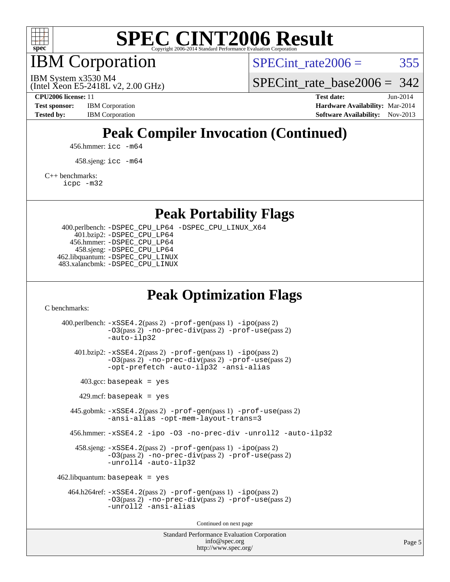

IBM Corporation

SPECint rate $2006 = 355$ 

(Intel Xeon E5-2418L v2, 2.00 GHz) IBM System x3530 M4

SPECint rate base2006 =  $342$ 

**[CPU2006 license:](http://www.spec.org/auto/cpu2006/Docs/result-fields.html#CPU2006license)** 11 **[Test date:](http://www.spec.org/auto/cpu2006/Docs/result-fields.html#Testdate)** Jun-2014 **[Test sponsor:](http://www.spec.org/auto/cpu2006/Docs/result-fields.html#Testsponsor)** IBM Corporation **[Hardware Availability:](http://www.spec.org/auto/cpu2006/Docs/result-fields.html#HardwareAvailability)** Mar-2014 **[Tested by:](http://www.spec.org/auto/cpu2006/Docs/result-fields.html#Testedby)** IBM Corporation **IBM** Corporation **[Software Availability:](http://www.spec.org/auto/cpu2006/Docs/result-fields.html#SoftwareAvailability)** Nov-2013

## **[Peak Compiler Invocation \(Continued\)](http://www.spec.org/auto/cpu2006/Docs/result-fields.html#PeakCompilerInvocation)**

456.hmmer: [icc -m64](http://www.spec.org/cpu2006/results/res2014q3/cpu2006-20140617-29949.flags.html#user_peakCCLD456_hmmer_intel_icc_64bit_bda6cc9af1fdbb0edc3795bac97ada53)

458.sjeng: [icc -m64](http://www.spec.org/cpu2006/results/res2014q3/cpu2006-20140617-29949.flags.html#user_peakCCLD458_sjeng_intel_icc_64bit_bda6cc9af1fdbb0edc3795bac97ada53)

[C++ benchmarks:](http://www.spec.org/auto/cpu2006/Docs/result-fields.html#CXXbenchmarks)

[icpc -m32](http://www.spec.org/cpu2006/results/res2014q3/cpu2006-20140617-29949.flags.html#user_CXXpeak_intel_icpc_4e5a5ef1a53fd332b3c49e69c3330699)

**[Peak Portability Flags](http://www.spec.org/auto/cpu2006/Docs/result-fields.html#PeakPortabilityFlags)**

 400.perlbench: [-DSPEC\\_CPU\\_LP64](http://www.spec.org/cpu2006/results/res2014q3/cpu2006-20140617-29949.flags.html#b400.perlbench_peakCPORTABILITY_DSPEC_CPU_LP64) [-DSPEC\\_CPU\\_LINUX\\_X64](http://www.spec.org/cpu2006/results/res2014q3/cpu2006-20140617-29949.flags.html#b400.perlbench_peakCPORTABILITY_DSPEC_CPU_LINUX_X64) 401.bzip2: [-DSPEC\\_CPU\\_LP64](http://www.spec.org/cpu2006/results/res2014q3/cpu2006-20140617-29949.flags.html#suite_peakCPORTABILITY401_bzip2_DSPEC_CPU_LP64) 456.hmmer: [-DSPEC\\_CPU\\_LP64](http://www.spec.org/cpu2006/results/res2014q3/cpu2006-20140617-29949.flags.html#suite_peakCPORTABILITY456_hmmer_DSPEC_CPU_LP64) 458.sjeng: [-DSPEC\\_CPU\\_LP64](http://www.spec.org/cpu2006/results/res2014q3/cpu2006-20140617-29949.flags.html#suite_peakCPORTABILITY458_sjeng_DSPEC_CPU_LP64) 462.libquantum: [-DSPEC\\_CPU\\_LINUX](http://www.spec.org/cpu2006/results/res2014q3/cpu2006-20140617-29949.flags.html#b462.libquantum_peakCPORTABILITY_DSPEC_CPU_LINUX) 483.xalancbmk: [-DSPEC\\_CPU\\_LINUX](http://www.spec.org/cpu2006/results/res2014q3/cpu2006-20140617-29949.flags.html#b483.xalancbmk_peakCXXPORTABILITY_DSPEC_CPU_LINUX)

### **[Peak Optimization Flags](http://www.spec.org/auto/cpu2006/Docs/result-fields.html#PeakOptimizationFlags)**

[C benchmarks](http://www.spec.org/auto/cpu2006/Docs/result-fields.html#Cbenchmarks):

Standard Performance Evaluation Corporation 400.perlbench: [-xSSE4.2](http://www.spec.org/cpu2006/results/res2014q3/cpu2006-20140617-29949.flags.html#user_peakPASS2_CFLAGSPASS2_LDCFLAGS400_perlbench_f-xSSE42_f91528193cf0b216347adb8b939d4107)(pass 2) [-prof-gen](http://www.spec.org/cpu2006/results/res2014q3/cpu2006-20140617-29949.flags.html#user_peakPASS1_CFLAGSPASS1_LDCFLAGS400_perlbench_prof_gen_e43856698f6ca7b7e442dfd80e94a8fc)(pass 1) [-ipo](http://www.spec.org/cpu2006/results/res2014q3/cpu2006-20140617-29949.flags.html#user_peakPASS2_CFLAGSPASS2_LDCFLAGS400_perlbench_f-ipo)(pass 2) [-O3](http://www.spec.org/cpu2006/results/res2014q3/cpu2006-20140617-29949.flags.html#user_peakPASS2_CFLAGSPASS2_LDCFLAGS400_perlbench_f-O3)(pass 2) [-no-prec-div](http://www.spec.org/cpu2006/results/res2014q3/cpu2006-20140617-29949.flags.html#user_peakPASS2_CFLAGSPASS2_LDCFLAGS400_perlbench_f-no-prec-div)(pass 2) [-prof-use](http://www.spec.org/cpu2006/results/res2014q3/cpu2006-20140617-29949.flags.html#user_peakPASS2_CFLAGSPASS2_LDCFLAGS400_perlbench_prof_use_bccf7792157ff70d64e32fe3e1250b55)(pass 2) [-auto-ilp32](http://www.spec.org/cpu2006/results/res2014q3/cpu2006-20140617-29949.flags.html#user_peakCOPTIMIZE400_perlbench_f-auto-ilp32) 401.bzip2: [-xSSE4.2](http://www.spec.org/cpu2006/results/res2014q3/cpu2006-20140617-29949.flags.html#user_peakPASS2_CFLAGSPASS2_LDCFLAGS401_bzip2_f-xSSE42_f91528193cf0b216347adb8b939d4107)(pass 2) [-prof-gen](http://www.spec.org/cpu2006/results/res2014q3/cpu2006-20140617-29949.flags.html#user_peakPASS1_CFLAGSPASS1_LDCFLAGS401_bzip2_prof_gen_e43856698f6ca7b7e442dfd80e94a8fc)(pass 1) [-ipo](http://www.spec.org/cpu2006/results/res2014q3/cpu2006-20140617-29949.flags.html#user_peakPASS2_CFLAGSPASS2_LDCFLAGS401_bzip2_f-ipo)(pass 2) [-O3](http://www.spec.org/cpu2006/results/res2014q3/cpu2006-20140617-29949.flags.html#user_peakPASS2_CFLAGSPASS2_LDCFLAGS401_bzip2_f-O3)(pass 2) [-no-prec-div](http://www.spec.org/cpu2006/results/res2014q3/cpu2006-20140617-29949.flags.html#user_peakPASS2_CFLAGSPASS2_LDCFLAGS401_bzip2_f-no-prec-div)(pass 2) [-prof-use](http://www.spec.org/cpu2006/results/res2014q3/cpu2006-20140617-29949.flags.html#user_peakPASS2_CFLAGSPASS2_LDCFLAGS401_bzip2_prof_use_bccf7792157ff70d64e32fe3e1250b55)(pass 2) [-opt-prefetch](http://www.spec.org/cpu2006/results/res2014q3/cpu2006-20140617-29949.flags.html#user_peakCOPTIMIZE401_bzip2_f-opt-prefetch) [-auto-ilp32](http://www.spec.org/cpu2006/results/res2014q3/cpu2006-20140617-29949.flags.html#user_peakCOPTIMIZE401_bzip2_f-auto-ilp32) [-ansi-alias](http://www.spec.org/cpu2006/results/res2014q3/cpu2006-20140617-29949.flags.html#user_peakCOPTIMIZE401_bzip2_f-ansi-alias)  $403.\text{gcc: basepeak}$  = yes  $429$ .mcf: basepeak = yes 445.gobmk: [-xSSE4.2](http://www.spec.org/cpu2006/results/res2014q3/cpu2006-20140617-29949.flags.html#user_peakPASS2_CFLAGSPASS2_LDCFLAGS445_gobmk_f-xSSE42_f91528193cf0b216347adb8b939d4107)(pass 2) [-prof-gen](http://www.spec.org/cpu2006/results/res2014q3/cpu2006-20140617-29949.flags.html#user_peakPASS1_CFLAGSPASS1_LDCFLAGS445_gobmk_prof_gen_e43856698f6ca7b7e442dfd80e94a8fc)(pass 1) [-prof-use](http://www.spec.org/cpu2006/results/res2014q3/cpu2006-20140617-29949.flags.html#user_peakPASS2_CFLAGSPASS2_LDCFLAGS445_gobmk_prof_use_bccf7792157ff70d64e32fe3e1250b55)(pass 2) [-ansi-alias](http://www.spec.org/cpu2006/results/res2014q3/cpu2006-20140617-29949.flags.html#user_peakCOPTIMIZE445_gobmk_f-ansi-alias) [-opt-mem-layout-trans=3](http://www.spec.org/cpu2006/results/res2014q3/cpu2006-20140617-29949.flags.html#user_peakCOPTIMIZE445_gobmk_f-opt-mem-layout-trans_a7b82ad4bd7abf52556d4961a2ae94d5) 456.hmmer: [-xSSE4.2](http://www.spec.org/cpu2006/results/res2014q3/cpu2006-20140617-29949.flags.html#user_peakCOPTIMIZE456_hmmer_f-xSSE42_f91528193cf0b216347adb8b939d4107) [-ipo](http://www.spec.org/cpu2006/results/res2014q3/cpu2006-20140617-29949.flags.html#user_peakCOPTIMIZE456_hmmer_f-ipo) [-O3](http://www.spec.org/cpu2006/results/res2014q3/cpu2006-20140617-29949.flags.html#user_peakCOPTIMIZE456_hmmer_f-O3) [-no-prec-div](http://www.spec.org/cpu2006/results/res2014q3/cpu2006-20140617-29949.flags.html#user_peakCOPTIMIZE456_hmmer_f-no-prec-div) [-unroll2](http://www.spec.org/cpu2006/results/res2014q3/cpu2006-20140617-29949.flags.html#user_peakCOPTIMIZE456_hmmer_f-unroll_784dae83bebfb236979b41d2422d7ec2) [-auto-ilp32](http://www.spec.org/cpu2006/results/res2014q3/cpu2006-20140617-29949.flags.html#user_peakCOPTIMIZE456_hmmer_f-auto-ilp32) 458.sjeng: [-xSSE4.2](http://www.spec.org/cpu2006/results/res2014q3/cpu2006-20140617-29949.flags.html#user_peakPASS2_CFLAGSPASS2_LDCFLAGS458_sjeng_f-xSSE42_f91528193cf0b216347adb8b939d4107)(pass 2) [-prof-gen](http://www.spec.org/cpu2006/results/res2014q3/cpu2006-20140617-29949.flags.html#user_peakPASS1_CFLAGSPASS1_LDCFLAGS458_sjeng_prof_gen_e43856698f6ca7b7e442dfd80e94a8fc)(pass 1) [-ipo](http://www.spec.org/cpu2006/results/res2014q3/cpu2006-20140617-29949.flags.html#user_peakPASS2_CFLAGSPASS2_LDCFLAGS458_sjeng_f-ipo)(pass 2) [-O3](http://www.spec.org/cpu2006/results/res2014q3/cpu2006-20140617-29949.flags.html#user_peakPASS2_CFLAGSPASS2_LDCFLAGS458_sjeng_f-O3)(pass 2) [-no-prec-div](http://www.spec.org/cpu2006/results/res2014q3/cpu2006-20140617-29949.flags.html#user_peakPASS2_CFLAGSPASS2_LDCFLAGS458_sjeng_f-no-prec-div)(pass 2) [-prof-use](http://www.spec.org/cpu2006/results/res2014q3/cpu2006-20140617-29949.flags.html#user_peakPASS2_CFLAGSPASS2_LDCFLAGS458_sjeng_prof_use_bccf7792157ff70d64e32fe3e1250b55)(pass 2) [-unroll4](http://www.spec.org/cpu2006/results/res2014q3/cpu2006-20140617-29949.flags.html#user_peakCOPTIMIZE458_sjeng_f-unroll_4e5e4ed65b7fd20bdcd365bec371b81f) [-auto-ilp32](http://www.spec.org/cpu2006/results/res2014q3/cpu2006-20140617-29949.flags.html#user_peakCOPTIMIZE458_sjeng_f-auto-ilp32)  $462$ .libquantum: basepeak = yes 464.h264ref: [-xSSE4.2](http://www.spec.org/cpu2006/results/res2014q3/cpu2006-20140617-29949.flags.html#user_peakPASS2_CFLAGSPASS2_LDCFLAGS464_h264ref_f-xSSE42_f91528193cf0b216347adb8b939d4107)(pass 2) [-prof-gen](http://www.spec.org/cpu2006/results/res2014q3/cpu2006-20140617-29949.flags.html#user_peakPASS1_CFLAGSPASS1_LDCFLAGS464_h264ref_prof_gen_e43856698f6ca7b7e442dfd80e94a8fc)(pass 1) [-ipo](http://www.spec.org/cpu2006/results/res2014q3/cpu2006-20140617-29949.flags.html#user_peakPASS2_CFLAGSPASS2_LDCFLAGS464_h264ref_f-ipo)(pass 2) [-O3](http://www.spec.org/cpu2006/results/res2014q3/cpu2006-20140617-29949.flags.html#user_peakPASS2_CFLAGSPASS2_LDCFLAGS464_h264ref_f-O3)(pass 2) [-no-prec-div](http://www.spec.org/cpu2006/results/res2014q3/cpu2006-20140617-29949.flags.html#user_peakPASS2_CFLAGSPASS2_LDCFLAGS464_h264ref_f-no-prec-div)(pass 2) [-prof-use](http://www.spec.org/cpu2006/results/res2014q3/cpu2006-20140617-29949.flags.html#user_peakPASS2_CFLAGSPASS2_LDCFLAGS464_h264ref_prof_use_bccf7792157ff70d64e32fe3e1250b55)(pass 2) [-unroll2](http://www.spec.org/cpu2006/results/res2014q3/cpu2006-20140617-29949.flags.html#user_peakCOPTIMIZE464_h264ref_f-unroll_784dae83bebfb236979b41d2422d7ec2) [-ansi-alias](http://www.spec.org/cpu2006/results/res2014q3/cpu2006-20140617-29949.flags.html#user_peakCOPTIMIZE464_h264ref_f-ansi-alias) Continued on next page

[info@spec.org](mailto:info@spec.org) <http://www.spec.org/>

Page 5